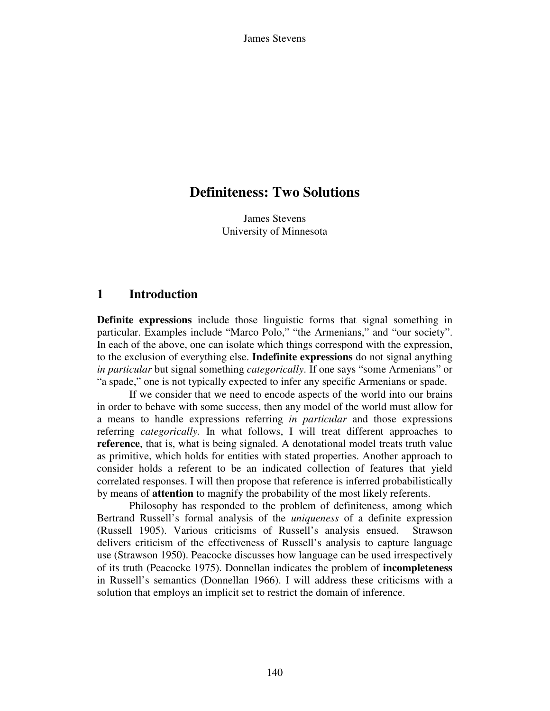James Stevens

# **Definiteness: Two Solutions**

James Stevens University of Minnesota

## **1 Introduction**

**Definite expressions** include those linguistic forms that signal something in particular. Examples include "Marco Polo," "the Armenians," and "our society". In each of the above, one can isolate which things correspond with the expression, to the exclusion of everything else. **Indefinite expressions** do not signal anything *in particular* but signal something *categorically*. If one says "some Armenians" or "a spade," one is not typically expected to infer any specific Armenians or spade.

 If we consider that we need to encode aspects of the world into our brains in order to behave with some success, then any model of the world must allow for a means to handle expressions referring *in particular* and those expressions referring *categorically.* In what follows, I will treat different approaches to **reference**, that is, what is being signaled. A denotational model treats truth value as primitive, which holds for entities with stated properties. Another approach to consider holds a referent to be an indicated collection of features that yield correlated responses. I will then propose that reference is inferred probabilistically by means of **attention** to magnify the probability of the most likely referents.

 Philosophy has responded to the problem of definiteness, among which Bertrand Russell's formal analysis of the *uniqueness* of a definite expression (Russell 1905). Various criticisms of Russell's analysis ensued. Strawson delivers criticism of the effectiveness of Russell's analysis to capture language use (Strawson 1950). Peacocke discusses how language can be used irrespectively of its truth (Peacocke 1975). Donnellan indicates the problem of **incompleteness** in Russell's semantics (Donnellan 1966). I will address these criticisms with a solution that employs an implicit set to restrict the domain of inference.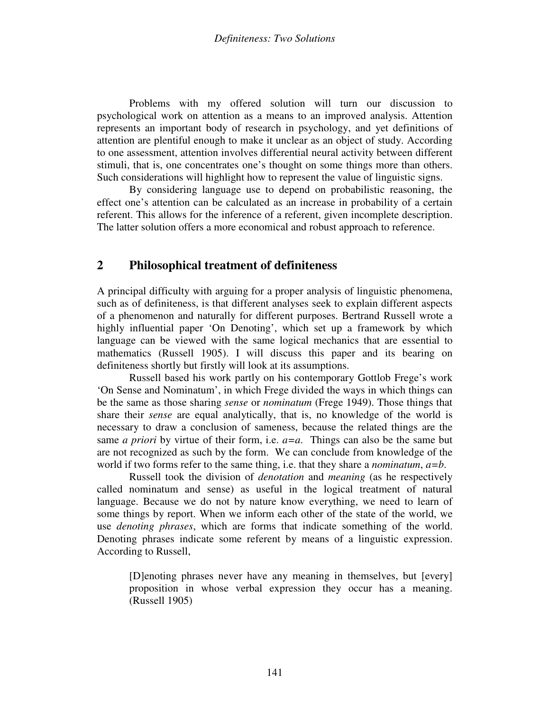Problems with my offered solution will turn our discussion to psychological work on attention as a means to an improved analysis. Attention represents an important body of research in psychology, and yet definitions of attention are plentiful enough to make it unclear as an object of study. According to one assessment, attention involves differential neural activity between different stimuli, that is, one concentrates one's thought on some things more than others. Such considerations will highlight how to represent the value of linguistic signs.

 By considering language use to depend on probabilistic reasoning, the effect one's attention can be calculated as an increase in probability of a certain referent. This allows for the inference of a referent, given incomplete description. The latter solution offers a more economical and robust approach to reference.

## **2 Philosophical treatment of definiteness**

A principal difficulty with arguing for a proper analysis of linguistic phenomena, such as of definiteness, is that different analyses seek to explain different aspects of a phenomenon and naturally for different purposes. Bertrand Russell wrote a highly influential paper 'On Denoting', which set up a framework by which language can be viewed with the same logical mechanics that are essential to mathematics (Russell 1905). I will discuss this paper and its bearing on definiteness shortly but firstly will look at its assumptions.

 Russell based his work partly on his contemporary Gottlob Frege's work 'On Sense and Nominatum', in which Frege divided the ways in which things can be the same as those sharing *sense* or *nominatum* (Frege 1949). Those things that share their *sense* are equal analytically, that is, no knowledge of the world is necessary to draw a conclusion of sameness, because the related things are the same *a priori* by virtue of their form, i.e. *a=a*. Things can also be the same but are not recognized as such by the form. We can conclude from knowledge of the world if two forms refer to the same thing, i.e. that they share a *nominatum*, *a=b*.

 Russell took the division of *denotation* and *meaning* (as he respectively called nominatum and sense) as useful in the logical treatment of natural language. Because we do not by nature know everything, we need to learn of some things by report. When we inform each other of the state of the world, we use *denoting phrases*, which are forms that indicate something of the world. Denoting phrases indicate some referent by means of a linguistic expression. According to Russell,

 [D]enoting phrases never have any meaning in themselves, but [every] proposition in whose verbal expression they occur has a meaning. (Russell 1905)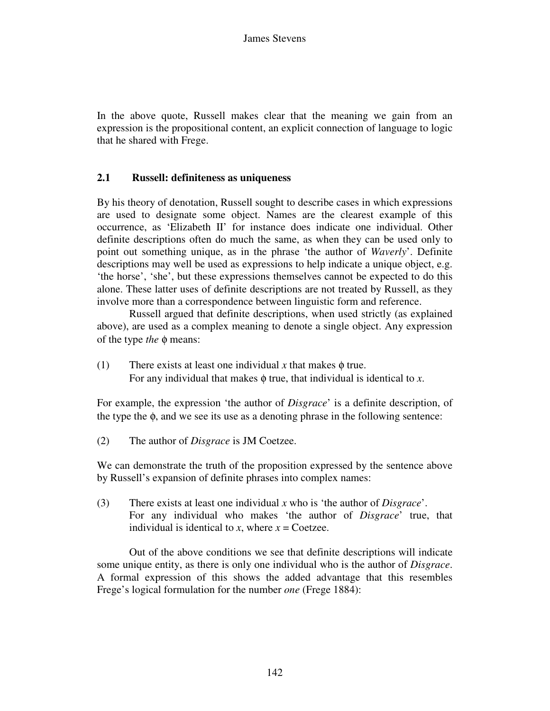In the above quote, Russell makes clear that the meaning we gain from an expression is the propositional content, an explicit connection of language to logic that he shared with Frege.

## **2.1 Russell: definiteness as uniqueness**

By his theory of denotation, Russell sought to describe cases in which expressions are used to designate some object. Names are the clearest example of this occurrence, as 'Elizabeth II' for instance does indicate one individual. Other definite descriptions often do much the same, as when they can be used only to point out something unique, as in the phrase 'the author of *Waverly*'. Definite descriptions may well be used as expressions to help indicate a unique object, e.g. 'the horse', 'she', but these expressions themselves cannot be expected to do this alone. These latter uses of definite descriptions are not treated by Russell, as they involve more than a correspondence between linguistic form and reference.

 Russell argued that definite descriptions, when used strictly (as explained above), are used as a complex meaning to denote a single object. Any expression of the type *the* φ means:

(1) There exists at least one individual x that makes  $\phi$  true. For any individual that makes φ true, that individual is identical to *x*.

For example, the expression 'the author of *Disgrace*' is a definite description, of the type the φ, and we see its use as a denoting phrase in the following sentence:

(2) The author of *Disgrace* is JM Coetzee.

We can demonstrate the truth of the proposition expressed by the sentence above by Russell's expansion of definite phrases into complex names:

(3) There exists at least one individual *x* who is 'the author of *Disgrace*'. For any individual who makes 'the author of *Disgrace*' true, that individual is identical to *x*, where  $x = \text{Coetzee}$ .

 Out of the above conditions we see that definite descriptions will indicate some unique entity, as there is only one individual who is the author of *Disgrace*. A formal expression of this shows the added advantage that this resembles Frege's logical formulation for the number *one* (Frege 1884):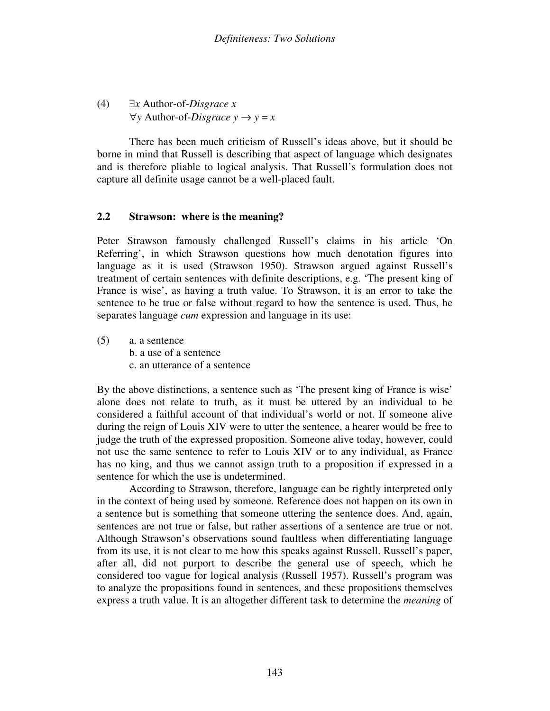(4) ∃*x* Author-of-*Disgrace x* ∀*y* Author-of-*Disgrace y* → *y* = *x*

 There has been much criticism of Russell's ideas above, but it should be borne in mind that Russell is describing that aspect of language which designates and is therefore pliable to logical analysis. That Russell's formulation does not capture all definite usage cannot be a well-placed fault.

## **2.2 Strawson: where is the meaning?**

Peter Strawson famously challenged Russell's claims in his article 'On Referring', in which Strawson questions how much denotation figures into language as it is used (Strawson 1950). Strawson argued against Russell's treatment of certain sentences with definite descriptions, e.g. 'The present king of France is wise', as having a truth value. To Strawson, it is an error to take the sentence to be true or false without regard to how the sentence is used. Thus, he separates language *cum* expression and language in its use:

(5) a. a sentence b. a use of a sentence c. an utterance of a sentence

By the above distinctions, a sentence such as 'The present king of France is wise' alone does not relate to truth, as it must be uttered by an individual to be considered a faithful account of that individual's world or not. If someone alive during the reign of Louis XIV were to utter the sentence, a hearer would be free to judge the truth of the expressed proposition. Someone alive today, however, could not use the same sentence to refer to Louis XIV or to any individual, as France has no king, and thus we cannot assign truth to a proposition if expressed in a sentence for which the use is undetermined.

 According to Strawson, therefore, language can be rightly interpreted only in the context of being used by someone. Reference does not happen on its own in a sentence but is something that someone uttering the sentence does. And, again, sentences are not true or false, but rather assertions of a sentence are true or not. Although Strawson's observations sound faultless when differentiating language from its use, it is not clear to me how this speaks against Russell. Russell's paper, after all, did not purport to describe the general use of speech, which he considered too vague for logical analysis (Russell 1957). Russell's program was to analyze the propositions found in sentences, and these propositions themselves express a truth value. It is an altogether different task to determine the *meaning* of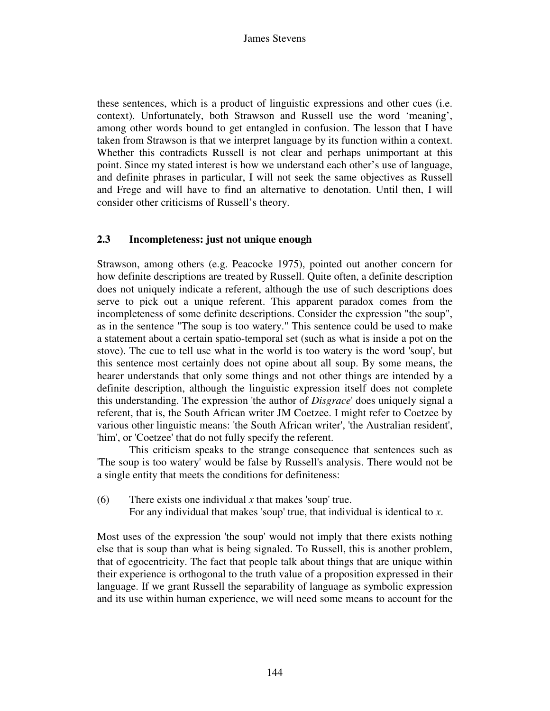these sentences, which is a product of linguistic expressions and other cues (i.e. context). Unfortunately, both Strawson and Russell use the word 'meaning', among other words bound to get entangled in confusion. The lesson that I have taken from Strawson is that we interpret language by its function within a context. Whether this contradicts Russell is not clear and perhaps unimportant at this point. Since my stated interest is how we understand each other's use of language, and definite phrases in particular, I will not seek the same objectives as Russell and Frege and will have to find an alternative to denotation. Until then, I will consider other criticisms of Russell's theory.

## **2.3 Incompleteness: just not unique enough**

Strawson, among others (e.g. Peacocke 1975), pointed out another concern for how definite descriptions are treated by Russell. Quite often, a definite description does not uniquely indicate a referent, although the use of such descriptions does serve to pick out a unique referent. This apparent paradox comes from the incompleteness of some definite descriptions. Consider the expression "the soup", as in the sentence "The soup is too watery." This sentence could be used to make a statement about a certain spatio-temporal set (such as what is inside a pot on the stove). The cue to tell use what in the world is too watery is the word 'soup', but this sentence most certainly does not opine about all soup. By some means, the hearer understands that only some things and not other things are intended by a definite description, although the linguistic expression itself does not complete this understanding. The expression 'the author of *Disgrace*' does uniquely signal a referent, that is, the South African writer JM Coetzee. I might refer to Coetzee by various other linguistic means: 'the South African writer', 'the Australian resident', 'him', or 'Coetzee' that do not fully specify the referent.

 This criticism speaks to the strange consequence that sentences such as 'The soup is too watery' would be false by Russell's analysis. There would not be a single entity that meets the conditions for definiteness:

(6) There exists one individual *x* that makes 'soup' true. For any individual that makes 'soup' true, that individual is identical to *x*.

Most uses of the expression 'the soup' would not imply that there exists nothing else that is soup than what is being signaled. To Russell, this is another problem, that of egocentricity. The fact that people talk about things that are unique within their experience is orthogonal to the truth value of a proposition expressed in their language. If we grant Russell the separability of language as symbolic expression and its use within human experience, we will need some means to account for the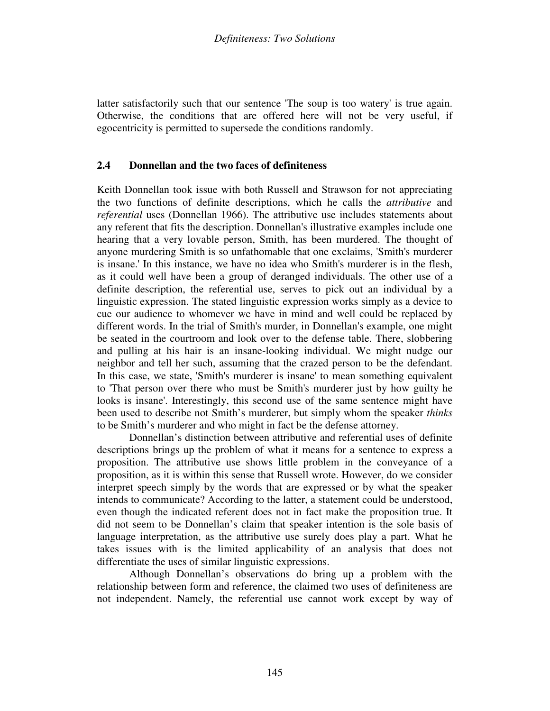latter satisfactorily such that our sentence 'The soup is too watery' is true again. Otherwise, the conditions that are offered here will not be very useful, if egocentricity is permitted to supersede the conditions randomly.

### **2.4 Donnellan and the two faces of definiteness**

Keith Donnellan took issue with both Russell and Strawson for not appreciating the two functions of definite descriptions, which he calls the *attributive* and *referential* uses (Donnellan 1966). The attributive use includes statements about any referent that fits the description. Donnellan's illustrative examples include one hearing that a very lovable person, Smith, has been murdered. The thought of anyone murdering Smith is so unfathomable that one exclaims, 'Smith's murderer is insane.' In this instance, we have no idea who Smith's murderer is in the flesh, as it could well have been a group of deranged individuals. The other use of a definite description, the referential use, serves to pick out an individual by a linguistic expression. The stated linguistic expression works simply as a device to cue our audience to whomever we have in mind and well could be replaced by different words. In the trial of Smith's murder, in Donnellan's example, one might be seated in the courtroom and look over to the defense table. There, slobbering and pulling at his hair is an insane-looking individual. We might nudge our neighbor and tell her such, assuming that the crazed person to be the defendant. In this case, we state, 'Smith's murderer is insane' to mean something equivalent to 'That person over there who must be Smith's murderer just by how guilty he looks is insane'. Interestingly, this second use of the same sentence might have been used to describe not Smith's murderer, but simply whom the speaker *thinks* to be Smith's murderer and who might in fact be the defense attorney.

 Donnellan's distinction between attributive and referential uses of definite descriptions brings up the problem of what it means for a sentence to express a proposition. The attributive use shows little problem in the conveyance of a proposition, as it is within this sense that Russell wrote. However, do we consider interpret speech simply by the words that are expressed or by what the speaker intends to communicate? According to the latter, a statement could be understood, even though the indicated referent does not in fact make the proposition true. It did not seem to be Donnellan's claim that speaker intention is the sole basis of language interpretation, as the attributive use surely does play a part. What he takes issues with is the limited applicability of an analysis that does not differentiate the uses of similar linguistic expressions.

 Although Donnellan's observations do bring up a problem with the relationship between form and reference, the claimed two uses of definiteness are not independent. Namely, the referential use cannot work except by way of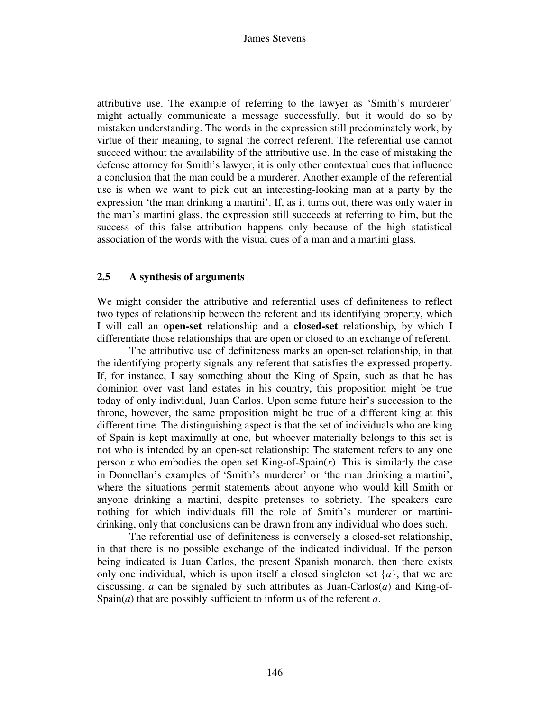#### James Stevens

attributive use. The example of referring to the lawyer as 'Smith's murderer' might actually communicate a message successfully, but it would do so by mistaken understanding. The words in the expression still predominately work, by virtue of their meaning, to signal the correct referent. The referential use cannot succeed without the availability of the attributive use. In the case of mistaking the defense attorney for Smith's lawyer, it is only other contextual cues that influence a conclusion that the man could be a murderer. Another example of the referential use is when we want to pick out an interesting-looking man at a party by the expression 'the man drinking a martini'. If, as it turns out, there was only water in the man's martini glass, the expression still succeeds at referring to him, but the success of this false attribution happens only because of the high statistical association of the words with the visual cues of a man and a martini glass.

## **2.5 A synthesis of arguments**

We might consider the attributive and referential uses of definiteness to reflect two types of relationship between the referent and its identifying property, which I will call an **open-set** relationship and a **closed-set** relationship, by which I differentiate those relationships that are open or closed to an exchange of referent.

 The attributive use of definiteness marks an open-set relationship, in that the identifying property signals any referent that satisfies the expressed property. If, for instance, I say something about the King of Spain, such as that he has dominion over vast land estates in his country, this proposition might be true today of only individual, Juan Carlos. Upon some future heir's succession to the throne, however, the same proposition might be true of a different king at this different time. The distinguishing aspect is that the set of individuals who are king of Spain is kept maximally at one, but whoever materially belongs to this set is not who is intended by an open-set relationship: The statement refers to any one person *x* who embodies the open set King-of-Spain $(x)$ . This is similarly the case in Donnellan's examples of 'Smith's murderer' or 'the man drinking a martini', where the situations permit statements about anyone who would kill Smith or anyone drinking a martini, despite pretenses to sobriety. The speakers care nothing for which individuals fill the role of Smith's murderer or martinidrinking, only that conclusions can be drawn from any individual who does such.

 The referential use of definiteness is conversely a closed-set relationship, in that there is no possible exchange of the indicated individual. If the person being indicated is Juan Carlos, the present Spanish monarch, then there exists only one individual, which is upon itself a closed singleton set {*a*}, that we are discussing. *a* can be signaled by such attributes as Juan-Carlos(*a*) and King-of-Spain(*a*) that are possibly sufficient to inform us of the referent *a*.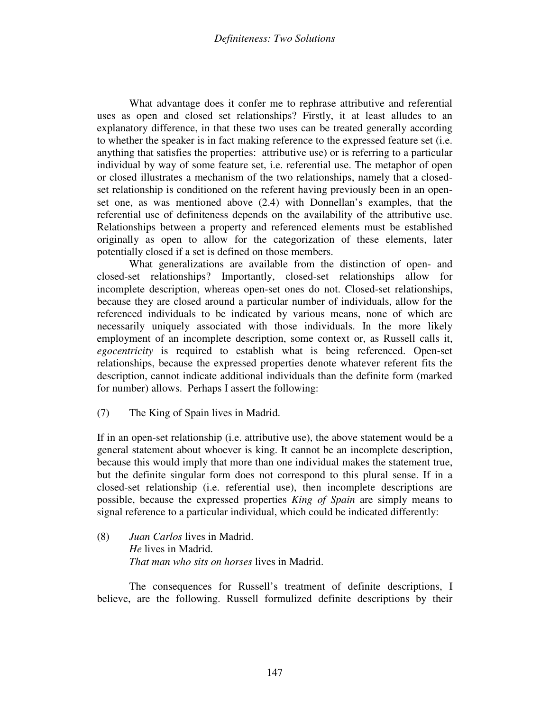What advantage does it confer me to rephrase attributive and referential uses as open and closed set relationships? Firstly, it at least alludes to an explanatory difference, in that these two uses can be treated generally according to whether the speaker is in fact making reference to the expressed feature set (i.e. anything that satisfies the properties: attributive use) or is referring to a particular individual by way of some feature set, i.e. referential use. The metaphor of open or closed illustrates a mechanism of the two relationships, namely that a closedset relationship is conditioned on the referent having previously been in an openset one, as was mentioned above (2.4) with Donnellan's examples, that the referential use of definiteness depends on the availability of the attributive use. Relationships between a property and referenced elements must be established originally as open to allow for the categorization of these elements, later potentially closed if a set is defined on those members.

 What generalizations are available from the distinction of open- and closed-set relationships? Importantly, closed-set relationships allow for incomplete description, whereas open-set ones do not. Closed-set relationships, because they are closed around a particular number of individuals, allow for the referenced individuals to be indicated by various means, none of which are necessarily uniquely associated with those individuals. In the more likely employment of an incomplete description, some context or, as Russell calls it, *egocentricity* is required to establish what is being referenced. Open-set relationships, because the expressed properties denote whatever referent fits the description, cannot indicate additional individuals than the definite form (marked for number) allows. Perhaps I assert the following:

(7) The King of Spain lives in Madrid.

If in an open-set relationship (i.e. attributive use), the above statement would be a general statement about whoever is king. It cannot be an incomplete description, because this would imply that more than one individual makes the statement true, but the definite singular form does not correspond to this plural sense. If in a closed-set relationship (i.e. referential use), then incomplete descriptions are possible, because the expressed properties *King of Spain* are simply means to signal reference to a particular individual, which could be indicated differently:

(8) *Juan Carlos* lives in Madrid. *He* lives in Madrid. *That man who sits on horses* lives in Madrid.

 The consequences for Russell's treatment of definite descriptions, I believe, are the following. Russell formulized definite descriptions by their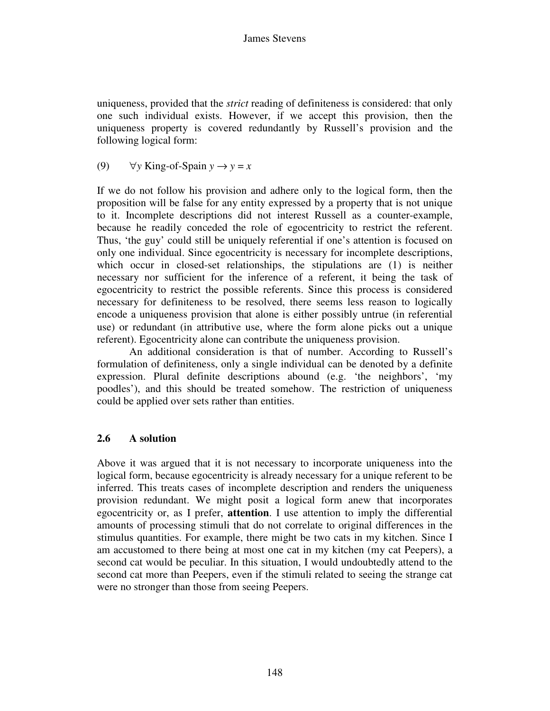uniqueness, provided that the *strict* reading of definiteness is considered: that only one such individual exists. However, if we accept this provision, then the uniqueness property is covered redundantly by Russell's provision and the following logical form:

(9)  $\forall y$  King-of-Spain  $y \rightarrow y = x$ 

If we do not follow his provision and adhere only to the logical form, then the proposition will be false for any entity expressed by a property that is not unique to it. Incomplete descriptions did not interest Russell as a counter-example, because he readily conceded the role of egocentricity to restrict the referent. Thus, 'the guy' could still be uniquely referential if one's attention is focused on only one individual. Since egocentricity is necessary for incomplete descriptions, which occur in closed-set relationships, the stipulations are  $(1)$  is neither necessary nor sufficient for the inference of a referent, it being the task of egocentricity to restrict the possible referents. Since this process is considered necessary for definiteness to be resolved, there seems less reason to logically encode a uniqueness provision that alone is either possibly untrue (in referential use) or redundant (in attributive use, where the form alone picks out a unique referent). Egocentricity alone can contribute the uniqueness provision.

 An additional consideration is that of number. According to Russell's formulation of definiteness, only a single individual can be denoted by a definite expression. Plural definite descriptions abound (e.g. 'the neighbors', 'my poodles'), and this should be treated somehow. The restriction of uniqueness could be applied over sets rather than entities.

### **2.6 A solution**

Above it was argued that it is not necessary to incorporate uniqueness into the logical form, because egocentricity is already necessary for a unique referent to be inferred. This treats cases of incomplete description and renders the uniqueness provision redundant. We might posit a logical form anew that incorporates egocentricity or, as I prefer, **attention**. I use attention to imply the differential amounts of processing stimuli that do not correlate to original differences in the stimulus quantities. For example, there might be two cats in my kitchen. Since I am accustomed to there being at most one cat in my kitchen (my cat Peepers), a second cat would be peculiar. In this situation, I would undoubtedly attend to the second cat more than Peepers, even if the stimuli related to seeing the strange cat were no stronger than those from seeing Peepers.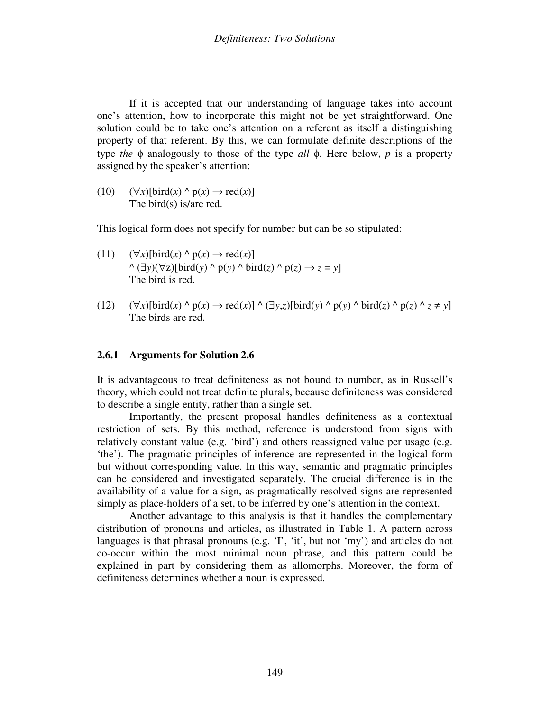If it is accepted that our understanding of language takes into account one's attention, how to incorporate this might not be yet straightforward. One solution could be to take one's attention on a referent as itself a distinguishing property of that referent. By this, we can formulate definite descriptions of the type *the* φ analogously to those of the type *all* φ. Here below, *p* is a property assigned by the speaker's attention:

(10)  $(\forall x)[\text{bird}(x) \land p(x) \rightarrow \text{red}(x)]$ The bird(s) is/are red.

This logical form does not specify for number but can be so stipulated:

- (11)  $(\forall x)$ [bird(*x*) ^ p(*x*)  $\rightarrow$  red(*x*)] ^ (∃*y*)(∀z)[bird(*y*) ^ p(*y*) ^ bird(*z*) ^ p(*z*) → *z* = *y*] The bird is red.
- (12) (∀*x*)[bird(*x*) ^ p(*x*) → red(*x*)] ^ (∃*y*,*z*)[bird(*y*) ^ p(*y*) ^ bird(*z*) ^ p(*z*) ^ *z* ≠ *y*] The birds are red.

### **2.6.1 Arguments for Solution 2.6**

It is advantageous to treat definiteness as not bound to number, as in Russell's theory, which could not treat definite plurals, because definiteness was considered to describe a single entity, rather than a single set.

 Importantly, the present proposal handles definiteness as a contextual restriction of sets. By this method, reference is understood from signs with relatively constant value (e.g. 'bird') and others reassigned value per usage (e.g. 'the'). The pragmatic principles of inference are represented in the logical form but without corresponding value. In this way, semantic and pragmatic principles can be considered and investigated separately. The crucial difference is in the availability of a value for a sign, as pragmatically-resolved signs are represented simply as place-holders of a set, to be inferred by one's attention in the context.

 Another advantage to this analysis is that it handles the complementary distribution of pronouns and articles, as illustrated in Table 1. A pattern across languages is that phrasal pronouns (e.g. 'I', 'it', but not 'my') and articles do not co-occur within the most minimal noun phrase, and this pattern could be explained in part by considering them as allomorphs. Moreover, the form of definiteness determines whether a noun is expressed.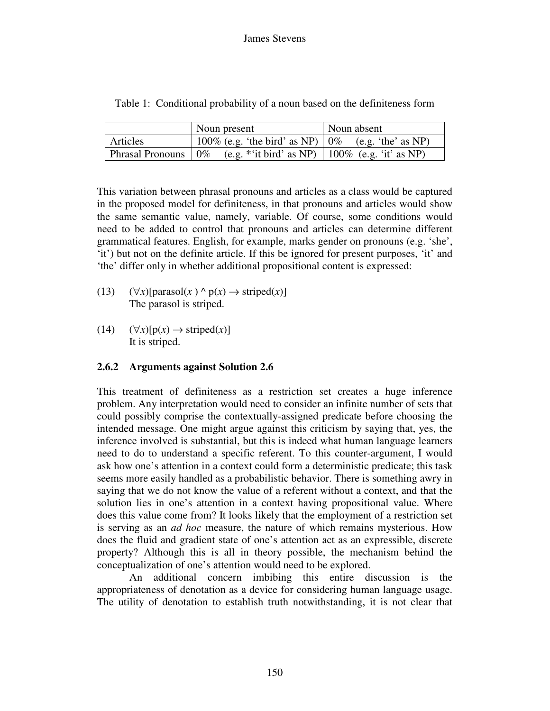|                                    | Noun present                                                   | Noun absent |  |
|------------------------------------|----------------------------------------------------------------|-------------|--|
| Articles                           | $100\%$ (e.g. 'the bird' as NP) $\vert 0\%$ (e.g. 'the' as NP) |             |  |
| Phrasal Pronouns $\vert 0\% \vert$ | $(e.g. * 'it bird' as NP)$   100% $(e.g. 'it' as NP)$          |             |  |

|  |  | Table 1: Conditional probability of a noun based on the definiteness form |
|--|--|---------------------------------------------------------------------------|
|  |  |                                                                           |

This variation between phrasal pronouns and articles as a class would be captured in the proposed model for definiteness, in that pronouns and articles would show the same semantic value, namely, variable. Of course, some conditions would need to be added to control that pronouns and articles can determine different grammatical features. English, for example, marks gender on pronouns (e.g. 'she', 'it') but not on the definite article. If this be ignored for present purposes, 'it' and 'the' differ only in whether additional propositional content is expressed:

- (13)  $(\forall x)$ [parasol(*x*) ^ p(*x*)  $\rightarrow$  striped(*x*)] The parasol is striped.
- $(14)$   $(\forall x)[p(x) \rightarrow \text{striped}(x)]$ It is striped.

## **2.6.2 Arguments against Solution 2.6**

This treatment of definiteness as a restriction set creates a huge inference problem. Any interpretation would need to consider an infinite number of sets that could possibly comprise the contextually-assigned predicate before choosing the intended message. One might argue against this criticism by saying that, yes, the inference involved is substantial, but this is indeed what human language learners need to do to understand a specific referent. To this counter-argument, I would ask how one's attention in a context could form a deterministic predicate; this task seems more easily handled as a probabilistic behavior. There is something awry in saying that we do not know the value of a referent without a context, and that the solution lies in one's attention in a context having propositional value. Where does this value come from? It looks likely that the employment of a restriction set is serving as an *ad hoc* measure, the nature of which remains mysterious. How does the fluid and gradient state of one's attention act as an expressible, discrete property? Although this is all in theory possible, the mechanism behind the conceptualization of one's attention would need to be explored.

 An additional concern imbibing this entire discussion is the appropriateness of denotation as a device for considering human language usage. The utility of denotation to establish truth notwithstanding, it is not clear that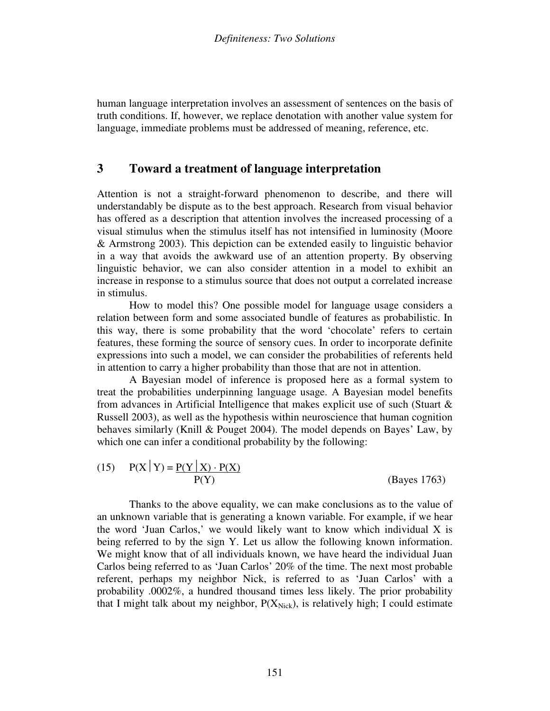human language interpretation involves an assessment of sentences on the basis of truth conditions. If, however, we replace denotation with another value system for language, immediate problems must be addressed of meaning, reference, etc.

## **3 Toward a treatment of language interpretation**

Attention is not a straight-forward phenomenon to describe, and there will understandably be dispute as to the best approach. Research from visual behavior has offered as a description that attention involves the increased processing of a visual stimulus when the stimulus itself has not intensified in luminosity (Moore & Armstrong 2003). This depiction can be extended easily to linguistic behavior in a way that avoids the awkward use of an attention property. By observing linguistic behavior, we can also consider attention in a model to exhibit an increase in response to a stimulus source that does not output a correlated increase in stimulus.

 How to model this? One possible model for language usage considers a relation between form and some associated bundle of features as probabilistic. In this way, there is some probability that the word 'chocolate' refers to certain features, these forming the source of sensory cues. In order to incorporate definite expressions into such a model, we can consider the probabilities of referents held in attention to carry a higher probability than those that are not in attention.

 A Bayesian model of inference is proposed here as a formal system to treat the probabilities underpinning language usage. A Bayesian model benefits from advances in Artificial Intelligence that makes explicit use of such (Stuart  $\&$ Russell 2003), as well as the hypothesis within neuroscience that human cognition behaves similarly (Knill & Pouget 2004). The model depends on Bayes' Law, by which one can infer a conditional probability by the following:

(15) 
$$
P(X | Y) = \frac{P(Y | X) \cdot P(X)}{P(Y)}
$$
 (Bayes 1763)

 Thanks to the above equality, we can make conclusions as to the value of an unknown variable that is generating a known variable. For example, if we hear the word 'Juan Carlos,' we would likely want to know which individual X is being referred to by the sign Y. Let us allow the following known information. We might know that of all individuals known, we have heard the individual Juan Carlos being referred to as 'Juan Carlos' 20% of the time. The next most probable referent, perhaps my neighbor Nick, is referred to as 'Juan Carlos' with a probability .0002%, a hundred thousand times less likely. The prior probability that I might talk about my neighbor,  $P(X_{\text{Nick}})$ , is relatively high; I could estimate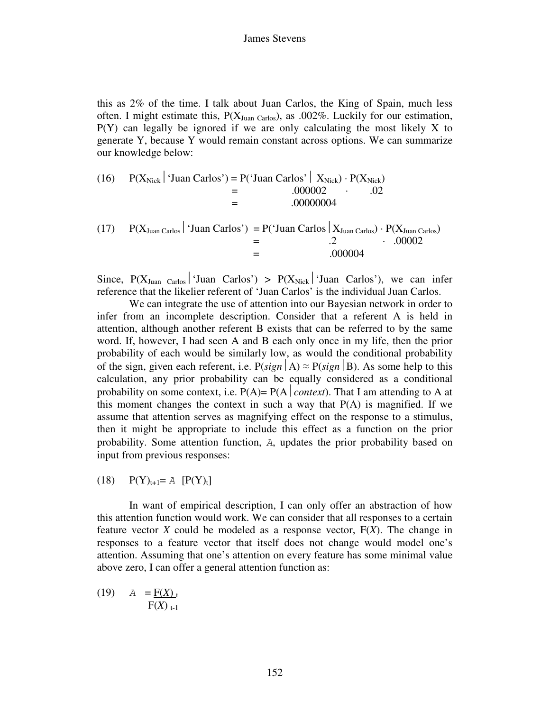this as 2% of the time. I talk about Juan Carlos, the King of Spain, much less often. I might estimate this,  $P(X_{Juan\ Carlos})$ , as .002%. Luckily for our estimation,  $P(Y)$  can legally be ignored if we are only calculating the most likely X to generate Y, because Y would remain constant across options. We can summarize our knowledge below:

(16) 
$$
P(X_{\text{Nick}} \mid 'Juan Carlos') = P('Juan Carlos' \mid X_{\text{Nick}}) \cdot P(X_{\text{Nick}})
$$

$$
= .000002 \cdot .02
$$

$$
= .00000004
$$

(17) 
$$
P(X_{\text{Juan Carlos}} | Y_{\text{Juan Carlos}}) = P(Y_{\text{Juan Carlos}} | X_{\text{Juan Carlos}}) \cdot P(X_{\text{Juan Carlos}})
$$
  
= .2 .00002  
= .000004

Since,  $P(X_{\text{Juan}} \text{ Carlos} | 'Juan \text{ Carlos'}) > P(X_{\text{Nick}} | 'Juan \text{ Carlos'}),$  we can infer reference that the likelier referent of 'Juan Carlos' is the individual Juan Carlos.

 We can integrate the use of attention into our Bayesian network in order to infer from an incomplete description. Consider that a referent A is held in attention, although another referent B exists that can be referred to by the same word. If, however, I had seen A and B each only once in my life, then the prior probability of each would be similarly low, as would the conditional probability of the sign, given each referent, i.e.  $P(\text{sign} | A) \approx P(\text{sign} | B)$ . As some help to this calculation, any prior probability can be equally considered as a conditional probability on some context, i.e.  $P(A) = P(A \mid context)$ . That I am attending to A at this moment changes the context in such a way that  $P(A)$  is magnified. If we assume that attention serves as magnifying effect on the response to a stimulus, then it might be appropriate to include this effect as a function on the prior probability. Some attention function, A, updates the prior probability based on input from previous responses:

(18)  $P(Y)_{t+1} = A [P(Y)_t]$ 

 In want of empirical description, I can only offer an abstraction of how this attention function would work. We can consider that all responses to a certain feature vector *X* could be modeled as a response vector, F(*X*). The change in responses to a feature vector that itself does not change would model one's attention. Assuming that one's attention on every feature has some minimal value above zero, I can offer a general attention function as:

(19) 
$$
A = \frac{F(X)}{F(X)_{t-1}}
$$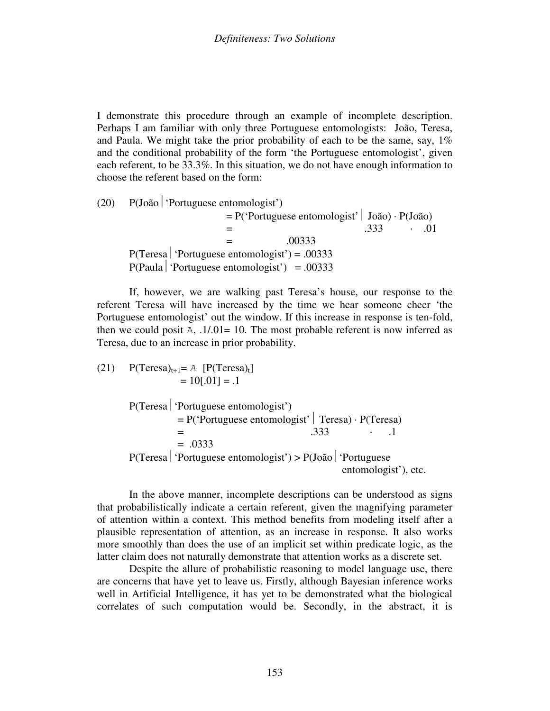I demonstrate this procedure through an example of incomplete description. Perhaps I am familiar with only three Portuguese entomologists: João, Teresa, and Paula. We might take the prior probability of each to be the same, say, 1% and the conditional probability of the form 'the Portuguese entomologist', given each referent, to be 33.3%. In this situation, we do not have enough information to choose the referent based on the form:

(20) P(João  $'$ Portuguese entomologist')  $= P('Portuguese entomologist' | João) \cdot P(João)$  $=$  .333  $.01$  $=$  .00333  $P(Teresa | 'Portuguese entomologist') = .00333$  $P(Paula | 'Portuguese entomologist') = .00333$ 

 If, however, we are walking past Teresa's house, our response to the referent Teresa will have increased by the time we hear someone cheer 'the Portuguese entomologist' out the window. If this increase in response is ten-fold, then we could posit A,  $.1/0.01 = 10$ . The most probable referent is now inferred as Teresa, due to an increase in prior probability.

(21) P(Teresa)t+1= A [P(Teresa)t] = 10[.01] = .1 P(Teresa'Portuguese entomologist') = P('Portuguese entomologist' Teresa) · P(Teresa) = .333 · .1 = .0333 P(Teresa'Portuguese entomologist') > P(João'Portuguese entomologist'), etc.

 In the above manner, incomplete descriptions can be understood as signs that probabilistically indicate a certain referent, given the magnifying parameter of attention within a context. This method benefits from modeling itself after a plausible representation of attention, as an increase in response. It also works more smoothly than does the use of an implicit set within predicate logic, as the latter claim does not naturally demonstrate that attention works as a discrete set.

 Despite the allure of probabilistic reasoning to model language use, there are concerns that have yet to leave us. Firstly, although Bayesian inference works well in Artificial Intelligence, it has yet to be demonstrated what the biological correlates of such computation would be. Secondly, in the abstract, it is